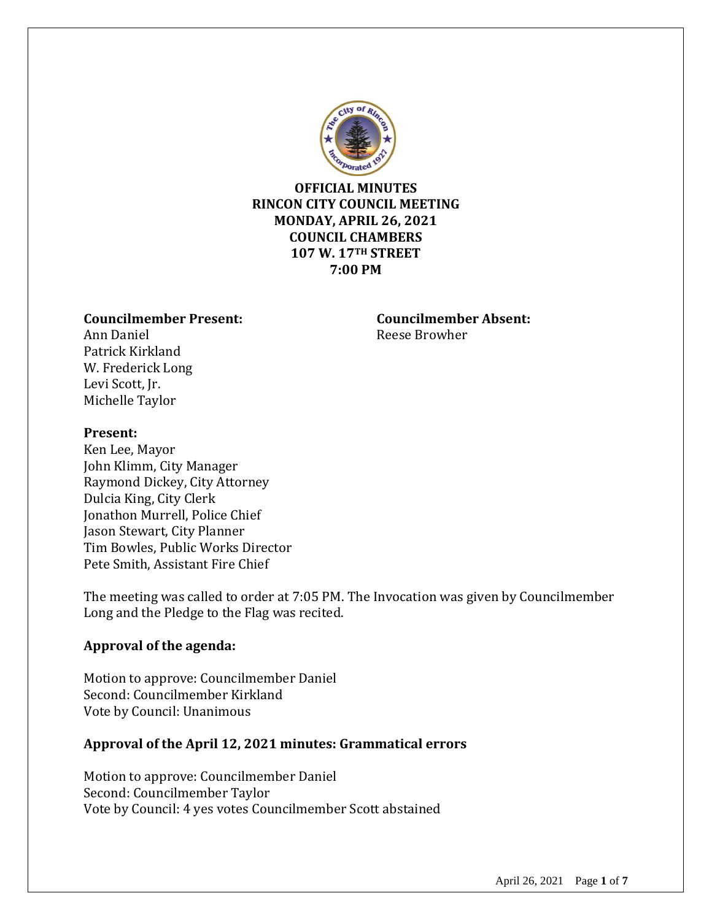

## **OFFICIAL MINUTES RINCON CITY COUNCIL MEETING MONDAY, APRIL 26, 2021 COUNCIL CHAMBERS 107 W. 17TH STREET 7:00 PM**

### **Councilmember Present: Councilmember Absent:**

Ann Daniel **Reese Browher** Patrick Kirkland W. Frederick Long Levi Scott, Jr. Michelle Taylor

## **Present:**

Ken Lee, Mayor John Klimm, City Manager Raymond Dickey, City Attorney Dulcia King, City Clerk Jonathon Murrell, Police Chief Jason Stewart, City Planner Tim Bowles, Public Works Director Pete Smith, Assistant Fire Chief

The meeting was called to order at 7:05 PM. The Invocation was given by Councilmember Long and the Pledge to the Flag was recited.

## **Approval of the agenda:**

Motion to approve: Councilmember Daniel Second: Councilmember Kirkland Vote by Council: Unanimous

## **Approval of the April 12, 2021 minutes: Grammatical errors**

Motion to approve: Councilmember Daniel Second: Councilmember Taylor Vote by Council: 4 yes votes Councilmember Scott abstained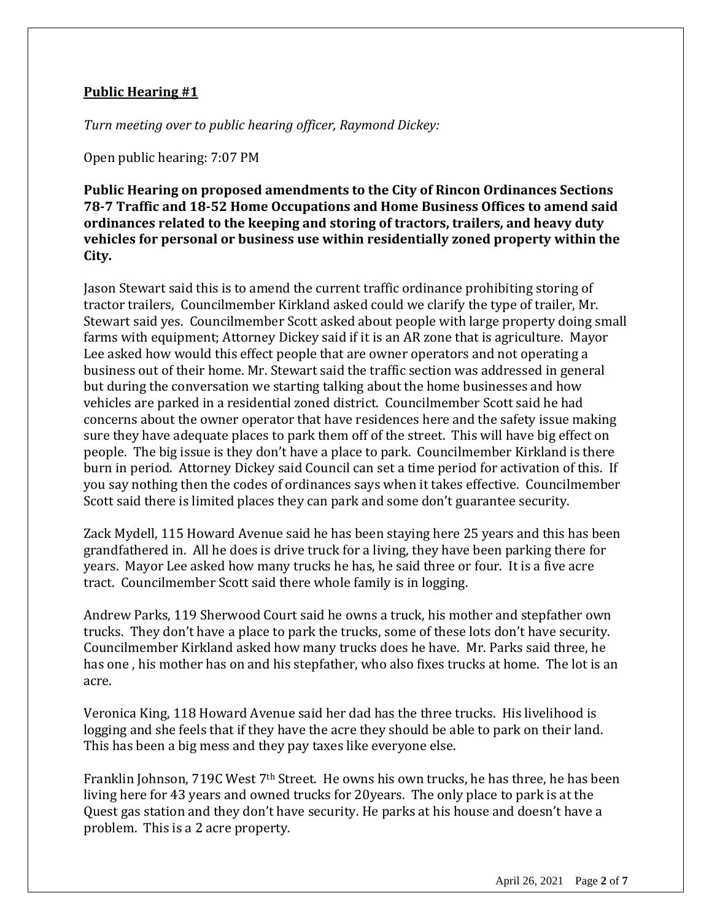# **Public Hearing #1**

*Turn meeting over to public hearing officer, Raymond Dickey:*

Open public hearing: 7:07 PM

**Public Hearing on proposed amendments to the City of Rincon Ordinances Sections 78-7 Traffic and 18-52 Home Occupations and Home Business Offices to amend said ordinances related to the keeping and storing of tractors, trailers, and heavy duty vehicles for personal or business use within residentially zoned property within the City.**

Jason Stewart said this is to amend the current traffic ordinance prohibiting storing of tractor trailers, Councilmember Kirkland asked could we clarify the type of trailer, Mr. Stewart said yes. Councilmember Scott asked about people with large property doing small farms with equipment; Attorney Dickey said if it is an AR zone that is agriculture. Mayor Lee asked how would this effect people that are owner operators and not operating a business out of their home. Mr. Stewart said the traffic section was addressed in general but during the conversation we starting talking about the home businesses and how vehicles are parked in a residential zoned district. Councilmember Scott said he had concerns about the owner operator that have residences here and the safety issue making sure they have adequate places to park them off of the street. This will have big effect on people. The big issue is they don't have a place to park. Councilmember Kirkland is there burn in period. Attorney Dickey said Council can set a time period for activation of this. If you say nothing then the codes of ordinances says when it takes effective. Councilmember Scott said there is limited places they can park and some don't guarantee security.

Zack Mydell, 115 Howard Avenue said he has been staying here 25 years and this has been grandfathered in. All he does is drive truck for a living, they have been parking there for years. Mayor Lee asked how many trucks he has, he said three or four. It is a five acre tract. Councilmember Scott said there whole family is in logging.

Andrew Parks, 119 Sherwood Court said he owns a truck, his mother and stepfather own trucks. They don't have a place to park the trucks, some of these lots don't have security. Councilmember Kirkland asked how many trucks does he have. Mr. Parks said three, he has one , his mother has on and his stepfather, who also fixes trucks at home. The lot is an acre.

Veronica King, 118 Howard Avenue said her dad has the three trucks. His livelihood is logging and she feels that if they have the acre they should be able to park on their land. This has been a big mess and they pay taxes like everyone else.

Franklin Johnson, 719C West 7th Street. He owns his own trucks, he has three, he has been living here for 43 years and owned trucks for 20years. The only place to park is at the Quest gas station and they don't have security. He parks at his house and doesn't have a problem. This is a 2 acre property.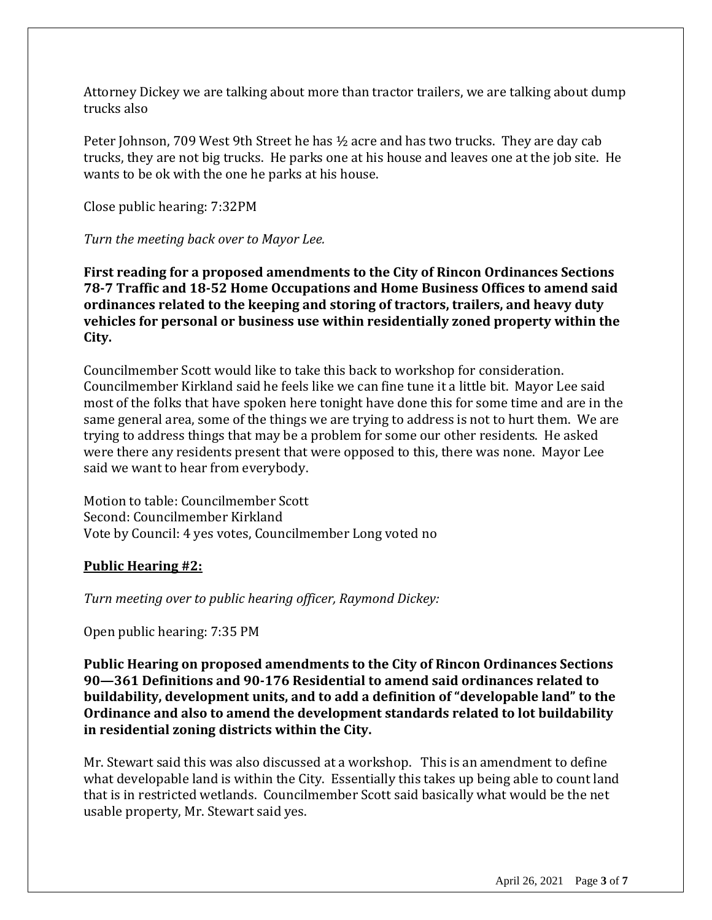Attorney Dickey we are talking about more than tractor trailers, we are talking about dump trucks also

Peter Johnson, 709 West 9th Street he has ½ acre and has two trucks. They are day cab trucks, they are not big trucks. He parks one at his house and leaves one at the job site. He wants to be ok with the one he parks at his house.

Close public hearing: 7:32PM

*Turn the meeting back over to Mayor Lee.*

**First reading for a proposed amendments to the City of Rincon Ordinances Sections 78-7 Traffic and 18-52 Home Occupations and Home Business Offices to amend said ordinances related to the keeping and storing of tractors, trailers, and heavy duty vehicles for personal or business use within residentially zoned property within the City.**

Councilmember Scott would like to take this back to workshop for consideration. Councilmember Kirkland said he feels like we can fine tune it a little bit. Mayor Lee said most of the folks that have spoken here tonight have done this for some time and are in the same general area, some of the things we are trying to address is not to hurt them. We are trying to address things that may be a problem for some our other residents. He asked were there any residents present that were opposed to this, there was none. Mayor Lee said we want to hear from everybody.

Motion to table: Councilmember Scott Second: Councilmember Kirkland Vote by Council: 4 yes votes, Councilmember Long voted no

### **Public Hearing #2:**

*Turn meeting over to public hearing officer, Raymond Dickey:*

Open public hearing: 7:35 PM

**Public Hearing on proposed amendments to the City of Rincon Ordinances Sections 90—361 Definitions and 90-176 Residential to amend said ordinances related to buildability, development units, and to add a definition of "developable land" to the Ordinance and also to amend the development standards related to lot buildability in residential zoning districts within the City.**

Mr. Stewart said this was also discussed at a workshop. This is an amendment to define what developable land is within the City. Essentially this takes up being able to count land that is in restricted wetlands. Councilmember Scott said basically what would be the net usable property, Mr. Stewart said yes.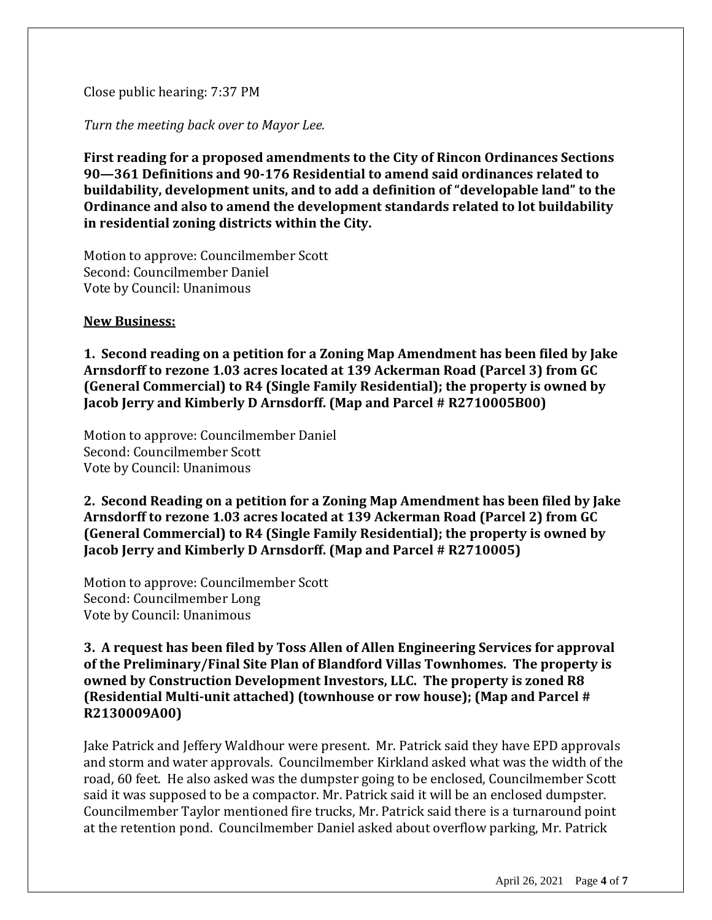## Close public hearing: 7:37 PM

*Turn the meeting back over to Mayor Lee.*

**First reading for a proposed amendments to the City of Rincon Ordinances Sections 90—361 Definitions and 90-176 Residential to amend said ordinances related to buildability, development units, and to add a definition of "developable land" to the Ordinance and also to amend the development standards related to lot buildability in residential zoning districts within the City.**

Motion to approve: Councilmember Scott Second: Councilmember Daniel Vote by Council: Unanimous

### **New Business:**

**1. Second reading on a petition for a Zoning Map Amendment has been filed by Jake Arnsdorff to rezone 1.03 acres located at 139 Ackerman Road (Parcel 3) from GC (General Commercial) to R4 (Single Family Residential); the property is owned by Jacob Jerry and Kimberly D Arnsdorff. (Map and Parcel # R2710005B00)**

Motion to approve: Councilmember Daniel Second: Councilmember Scott Vote by Council: Unanimous

**2. Second Reading on a petition for a Zoning Map Amendment has been filed by Jake Arnsdorff to rezone 1.03 acres located at 139 Ackerman Road (Parcel 2) from GC (General Commercial) to R4 (Single Family Residential); the property is owned by Jacob Jerry and Kimberly D Arnsdorff. (Map and Parcel # R2710005)**

Motion to approve: Councilmember Scott Second: Councilmember Long Vote by Council: Unanimous

## **3. A request has been filed by Toss Allen of Allen Engineering Services for approval of the Preliminary/Final Site Plan of Blandford Villas Townhomes. The property is owned by Construction Development Investors, LLC. The property is zoned R8 (Residential Multi-unit attached) (townhouse or row house); (Map and Parcel # R2130009A00)**

Jake Patrick and Jeffery Waldhour were present. Mr. Patrick said they have EPD approvals and storm and water approvals. Councilmember Kirkland asked what was the width of the road, 60 feet. He also asked was the dumpster going to be enclosed, Councilmember Scott said it was supposed to be a compactor. Mr. Patrick said it will be an enclosed dumpster. Councilmember Taylor mentioned fire trucks, Mr. Patrick said there is a turnaround point at the retention pond. Councilmember Daniel asked about overflow parking, Mr. Patrick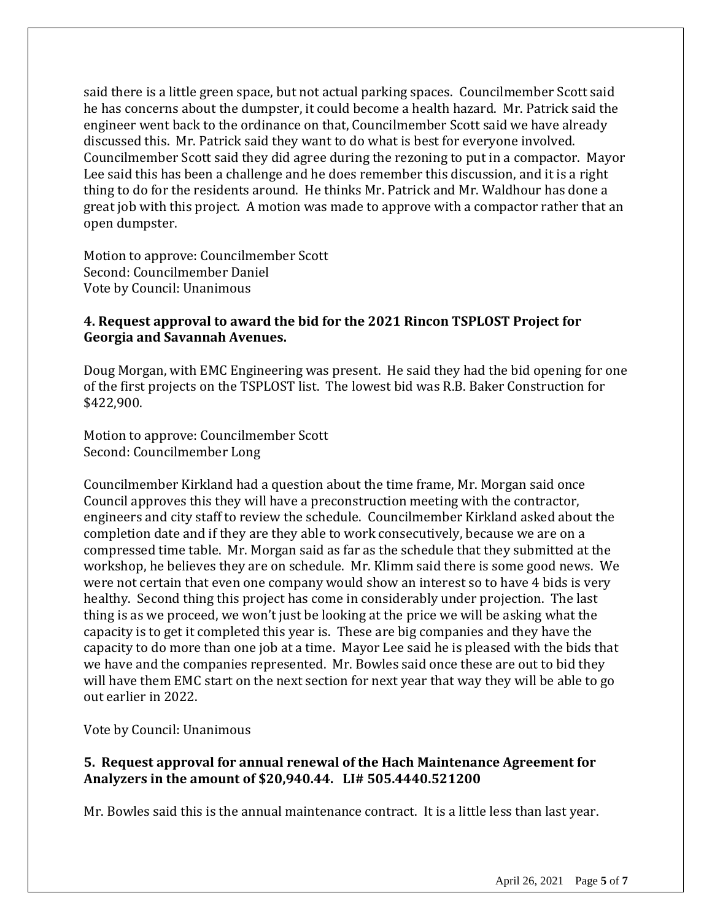said there is a little green space, but not actual parking spaces. Councilmember Scott said he has concerns about the dumpster, it could become a health hazard. Mr. Patrick said the engineer went back to the ordinance on that, Councilmember Scott said we have already discussed this. Mr. Patrick said they want to do what is best for everyone involved. Councilmember Scott said they did agree during the rezoning to put in a compactor. Mayor Lee said this has been a challenge and he does remember this discussion, and it is a right thing to do for the residents around. He thinks Mr. Patrick and Mr. Waldhour has done a great job with this project. A motion was made to approve with a compactor rather that an open dumpster.

Motion to approve: Councilmember Scott Second: Councilmember Daniel Vote by Council: Unanimous

## **4. Request approval to award the bid for the 2021 Rincon TSPLOST Project for Georgia and Savannah Avenues.**

Doug Morgan, with EMC Engineering was present. He said they had the bid opening for one of the first projects on the TSPLOST list. The lowest bid was R.B. Baker Construction for \$422,900.

Motion to approve: Councilmember Scott Second: Councilmember Long

Councilmember Kirkland had a question about the time frame, Mr. Morgan said once Council approves this they will have a preconstruction meeting with the contractor, engineers and city staff to review the schedule. Councilmember Kirkland asked about the completion date and if they are they able to work consecutively, because we are on a compressed time table. Mr. Morgan said as far as the schedule that they submitted at the workshop, he believes they are on schedule. Mr. Klimm said there is some good news. We were not certain that even one company would show an interest so to have 4 bids is very healthy. Second thing this project has come in considerably under projection. The last thing is as we proceed, we won't just be looking at the price we will be asking what the capacity is to get it completed this year is. These are big companies and they have the capacity to do more than one job at a time. Mayor Lee said he is pleased with the bids that we have and the companies represented. Mr. Bowles said once these are out to bid they will have them EMC start on the next section for next year that way they will be able to go out earlier in 2022.

Vote by Council: Unanimous

# **5. Request approval for annual renewal of the Hach Maintenance Agreement for Analyzers in the amount of \$20,940.44. LI# 505.4440.521200**

Mr. Bowles said this is the annual maintenance contract. It is a little less than last year.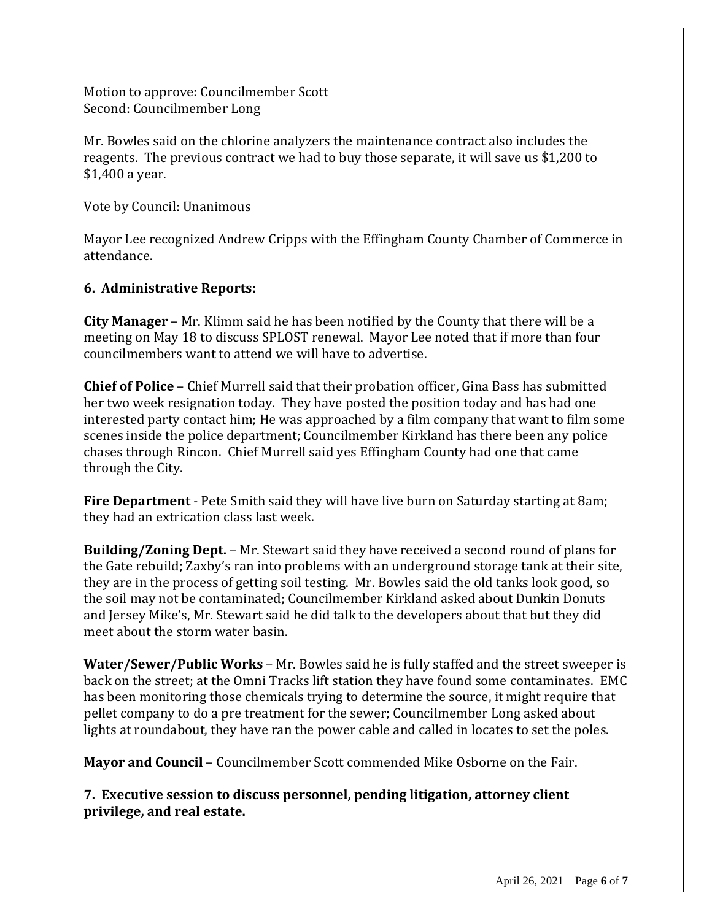Motion to approve: Councilmember Scott Second: Councilmember Long

Mr. Bowles said on the chlorine analyzers the maintenance contract also includes the reagents. The previous contract we had to buy those separate, it will save us \$1,200 to \$1,400 a year.

Vote by Council: Unanimous

Mayor Lee recognized Andrew Cripps with the Effingham County Chamber of Commerce in attendance.

## **6. Administrative Reports:**

**City Manager** – Mr. Klimm said he has been notified by the County that there will be a meeting on May 18 to discuss SPLOST renewal. Mayor Lee noted that if more than four councilmembers want to attend we will have to advertise.

**Chief of Police** – Chief Murrell said that their probation officer, Gina Bass has submitted her two week resignation today. They have posted the position today and has had one interested party contact him; He was approached by a film company that want to film some scenes inside the police department; Councilmember Kirkland has there been any police chases through Rincon. Chief Murrell said yes Effingham County had one that came through the City.

**Fire Department** - Pete Smith said they will have live burn on Saturday starting at 8am; they had an extrication class last week.

**Building/Zoning Dept.** – Mr. Stewart said they have received a second round of plans for the Gate rebuild; Zaxby's ran into problems with an underground storage tank at their site, they are in the process of getting soil testing. Mr. Bowles said the old tanks look good, so the soil may not be contaminated; Councilmember Kirkland asked about Dunkin Donuts and Jersey Mike's, Mr. Stewart said he did talk to the developers about that but they did meet about the storm water basin.

**Water/Sewer/Public Works** – Mr. Bowles said he is fully staffed and the street sweeper is back on the street; at the Omni Tracks lift station they have found some contaminates. EMC has been monitoring those chemicals trying to determine the source, it might require that pellet company to do a pre treatment for the sewer; Councilmember Long asked about lights at roundabout, they have ran the power cable and called in locates to set the poles.

**Mayor and Council** – Councilmember Scott commended Mike Osborne on the Fair.

**7. Executive session to discuss personnel, pending litigation, attorney client privilege, and real estate.**